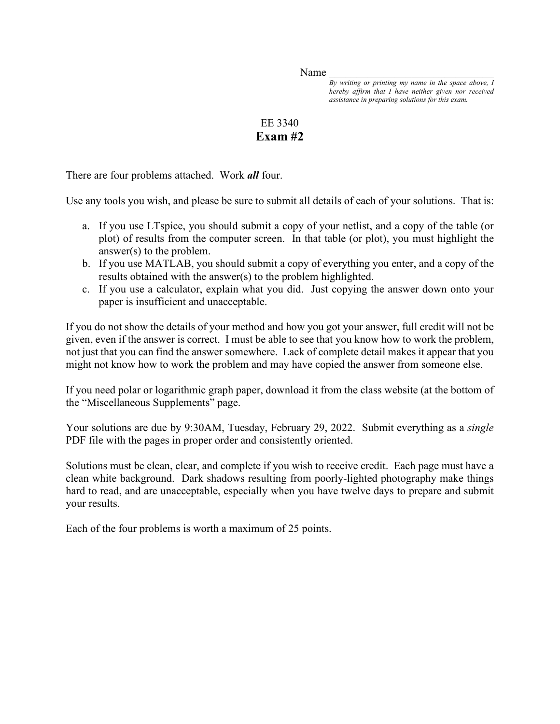Name

*By writing or printing my name in the space above, I hereby affirm that I have neither given nor received assistance in preparing solutions for this exam.* 

## EE 3340 **Exam #2**

There are four problems attached. Work *all* four.

Use any tools you wish, and please be sure to submit all details of each of your solutions. That is:

- a. If you use LTspice, you should submit a copy of your netlist, and a copy of the table (or plot) of results from the computer screen. In that table (or plot), you must highlight the answer(s) to the problem.
- b. If you use MATLAB, you should submit a copy of everything you enter, and a copy of the results obtained with the answer(s) to the problem highlighted.
- c. If you use a calculator, explain what you did. Just copying the answer down onto your paper is insufficient and unacceptable.

If you do not show the details of your method and how you got your answer, full credit will not be given, even if the answer is correct. I must be able to see that you know how to work the problem, not just that you can find the answer somewhere. Lack of complete detail makes it appear that you might not know how to work the problem and may have copied the answer from someone else.

If you need polar or logarithmic graph paper, download it from the class website (at the bottom of the "Miscellaneous Supplements" page.

Your solutions are due by 9:30AM, Tuesday, February 29, 2022. Submit everything as a *single* PDF file with the pages in proper order and consistently oriented.

Solutions must be clean, clear, and complete if you wish to receive credit. Each page must have a clean white background. Dark shadows resulting from poorly-lighted photography make things hard to read, and are unacceptable, especially when you have twelve days to prepare and submit your results.

Each of the four problems is worth a maximum of 25 points.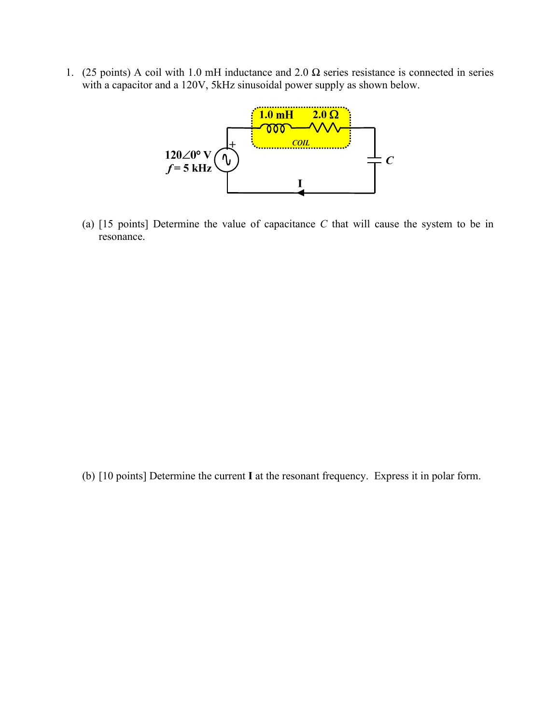1. (25 points) A coil with 1.0 mH inductance and 2.0  $\Omega$  series resistance is connected in series with a capacitor and a 120V, 5kHz sinusoidal power supply as shown below.



(a) [15 points] Determine the value of capacitance *C* that will cause the system to be in resonance.

(b) [10 points] Determine the current **I** at the resonant frequency. Express it in polar form.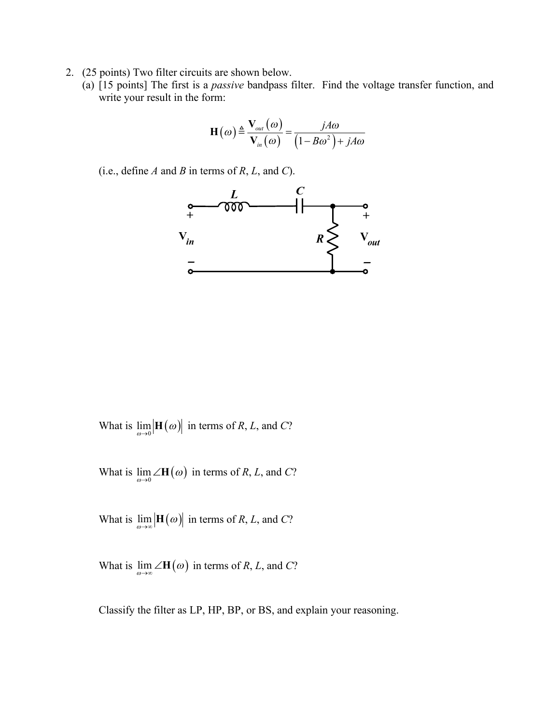- 2. (25 points) Two filter circuits are shown below.
	- (a) [15 points] The first is a *passive* bandpass filter. Find the voltage transfer function, and write your result in the form:

$$
\mathbf{H}\left(\omega\right) \triangleq \frac{\mathbf{V}_{out}\left(\omega\right)}{\mathbf{V}_{in}\left(\omega\right)} = \frac{jA\omega}{\left(1 - B\omega^2\right) + jA\omega}
$$



What is  $\lim_{\omega \to 0}$  |**H**  $(\omega)$ | in terms of *R*, *L*, and *C*?

What is  $\lim_{\omega \to 0} \angle \mathbf{H}(\omega)$  in terms of *R*, *L*, and *C*?

What is  $\lim_{\omega \to \infty}$  |**H**  $(\omega)$ | in terms of *R*, *L*, and *C*?

What is  $\lim_{\omega \to \infty} \angle \mathbf{H}(\omega)$  in terms of *R*, *L*, and *C*?

Classify the filter as LP, HP, BP, or BS, and explain your reasoning.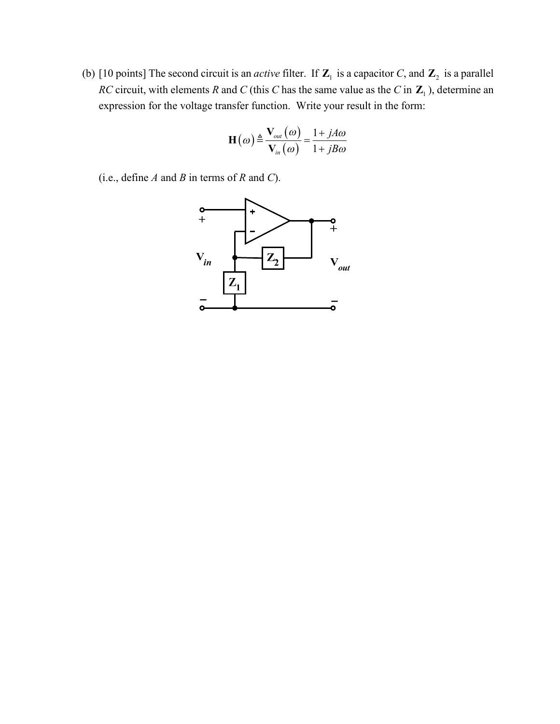(b) [10 points] The second circuit is an *active* filter. If  $\mathbb{Z}_1$  is a capacitor *C*, and  $\mathbb{Z}_2$  is a parallel *RC* circuit, with elements *R* and *C* (this *C* has the same value as the *C* in  $\mathbb{Z}_1$ ), determine an expression for the voltage transfer function. Write your result in the form:

$$
\mathbf{H}\left(\omega\right) \triangleq \frac{\mathbf{V}_{out}\left(\omega\right)}{\mathbf{V}_{in}\left(\omega\right)} = \frac{1 + jA\omega}{1 + jB\omega}
$$

(i.e., define *A* and *B* in terms of *R* and *C*).

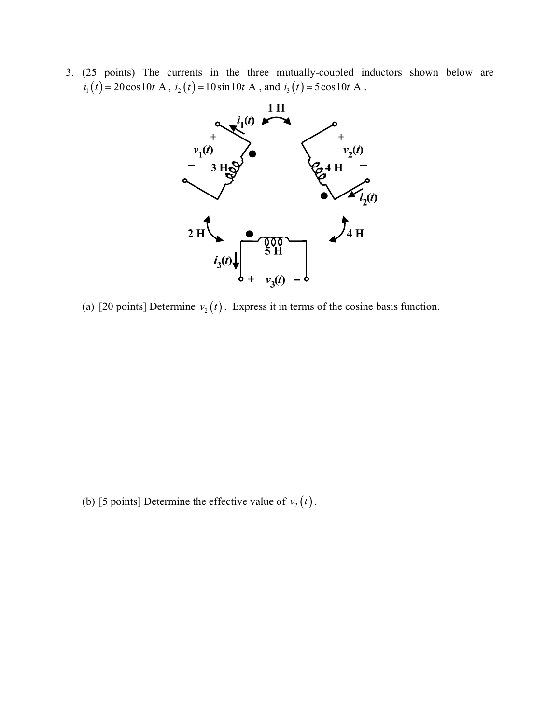3. (25 points) The currents in the three mutually-coupled inductors shown below are  $i_1(t) = 20 \cos 10t$  A,  $i_2(t) = 10 \sin 10t$  A, and  $i_3(t) = 5 \cos 10t$  A.



(a) [20 points] Determine  $v_2(t)$ . Express it in terms of the cosine basis function.

(b) [5 points] Determine the effective value of  $v_2(t)$ .